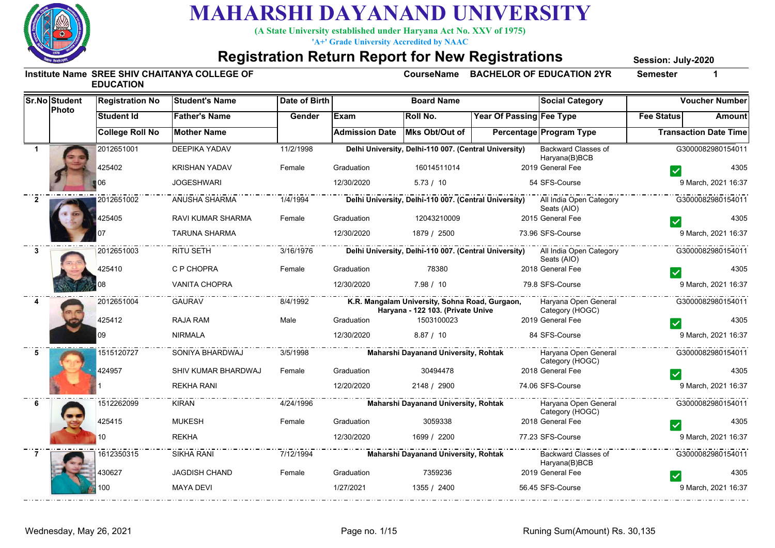

**(A State University established under Haryana Act No. XXV of 1975)**

**'A+' Grade University Accredited by NAAC**

#### **Registration Return Report for New Registrations**

**Session: July-2020**

|              | <b>Sr.No Student</b> | <b>Registration No</b> | <b>Student's Name</b> | Date of Birth |                       | <b>Board Name</b>                                                                   |                          | <b>Social Category</b>                                                                       |                   | <b>Voucher Number</b>        |
|--------------|----------------------|------------------------|-----------------------|---------------|-----------------------|-------------------------------------------------------------------------------------|--------------------------|----------------------------------------------------------------------------------------------|-------------------|------------------------------|
|              | Photo                | <b>Student Id</b>      | <b>Father's Name</b>  | Gender        | Exam                  | Roll No.                                                                            | Year Of Passing Fee Type |                                                                                              | <b>Fee Status</b> | Amount                       |
|              |                      | <b>College Roll No</b> | <b>Mother Name</b>    |               | <b>Admission Date</b> | Mks Obt/Out of                                                                      |                          | Percentage Program Type                                                                      |                   | <b>Transaction Date Time</b> |
|              |                      | 2012651001             | <b>DEEPIKA YADAV</b>  | 11/2/1998     |                       | Delhi University, Delhi-110 007. (Central University)                               |                          | Backward Classes of<br>Haryana(B)BCB                                                         |                   | G3000082980154011            |
|              |                      | 425402                 | <b>KRISHAN YADAV</b>  | Female        | Graduation            | 16014511014                                                                         |                          | 2019 General Fee                                                                             |                   | 4305                         |
|              |                      |                        | <b>JOGESHWARI</b>     |               | 12/30/2020            | 5.73 / 10                                                                           |                          | 54 SFS-Course                                                                                |                   | 9 March, 2021 16:37          |
| $\mathbf{2}$ |                      | 2012651002             | ANUSHA SHARMA         | 1/4/1994      |                       |                                                                                     |                          | Delhi University, Delhi-110 007. (Central University) All India Open Category<br>Seats (AIO) |                   | G3000082980154011            |
|              |                      | 425405                 | RAVI KUMAR SHARMA     | Female        | Graduation            | 12043210009                                                                         |                          | 2015 General Fee                                                                             |                   | 4305                         |
|              |                      | 07                     | <b>TARUNA SHARMA</b>  |               | 12/30/2020            | 1879 / 2500                                                                         |                          | 73.96 SFS-Course                                                                             |                   | 9 March, 2021 16:37          |
| $\mathbf{3}$ |                      | 2012651003             | RITU SETH             | 3/16/1976     |                       |                                                                                     |                          | Delhi University, Delhi-110 007. (Central University) All India Open Category<br>Seats (AIO) |                   | G3000082980154011            |
|              |                      | 425410                 | C P CHOPRA            | Female        | Graduation            | 78380                                                                               |                          | 2018 General Fee                                                                             |                   | 4305                         |
|              |                      |                        | <b>VANITA CHOPRA</b>  |               | 12/30/2020            | 7.98 / 10                                                                           |                          | 79.8 SFS-Course                                                                              |                   | 9 March, 2021 16:37          |
|              |                      | 2012651004             | <b>GAURAV</b>         | 8/4/1992      |                       | K.R. Mangalam University, Sohna Road, Gurgaon,<br>Haryana - 122 103. (Private Unive |                          | Haryana Open General<br>Category (HOGC)                                                      |                   | G3000082980154011            |
|              |                      | 425412                 | <b>RAJA RAM</b>       | Male          | Graduation            | 1503100023                                                                          |                          | 2019 General Fee                                                                             |                   | 4305                         |
|              |                      | 09                     | <b>NIRMALA</b>        |               | 12/30/2020            | 8.87 / 10                                                                           |                          | 84 SFS-Course                                                                                |                   | 9 March, 2021 16:37          |
| -5           |                      | 1515120727             | SONIYA BHARDWAJ       | 3/5/1998      |                       | <b>Maharshi Dayanand University, Rohtak</b>                                         |                          | Haryana Open General<br>Category (HOGC)                                                      | .                 | G3000082980154011            |
|              |                      | 424957                 | SHIV KUMAR BHARDWAJ   | Female        | Graduation            | 30494478                                                                            |                          | 2018 General Fee                                                                             |                   | 4305                         |
|              |                      |                        | <b>REKHA RANI</b>     |               | 12/20/2020            | 2148 / 2900                                                                         |                          | 74.06 SFS-Course                                                                             |                   | 9 March, 2021 16:37          |
| 6            |                      | 1512262099             | <b>KIRAN</b>          | 4/24/1996     |                       | Maharshi Dayanand University, Rohtak                                                |                          | Haryana Open General<br>Category (HOGC)                                                      | _ _ _ _ _         | G3000082980154011            |
|              |                      | 425415                 | <b>MUKESH</b>         | Female        | Graduation            | 3059338                                                                             |                          | 2018 General Fee                                                                             |                   | 4305                         |
|              |                      |                        | <b>REKHA</b>          |               | 12/30/2020            | 1699 / 2200                                                                         |                          | 77.23 SFS-Course                                                                             |                   | 9 March, 2021 16:37          |
|              |                      | 1612350315             | <b>SIKHA RANI</b>     | 7/12/1994     |                       | <b>Maharshi Dayanand University, Rohtak</b>                                         |                          | Backward Classes of<br>Haryana(B)BCB                                                         |                   | G3000082980154011            |
|              |                      | 430627                 | <b>JAGDISH CHAND</b>  | Female        | Graduation            | 7359236                                                                             |                          | 2019 General Fee                                                                             |                   | 4305                         |
|              |                      | 00                     | <b>MAYA DEVI</b>      |               | 1/27/2021             | 1355 / 2400                                                                         |                          | 56.45 SFS-Course                                                                             |                   | 9 March, 2021 16:37          |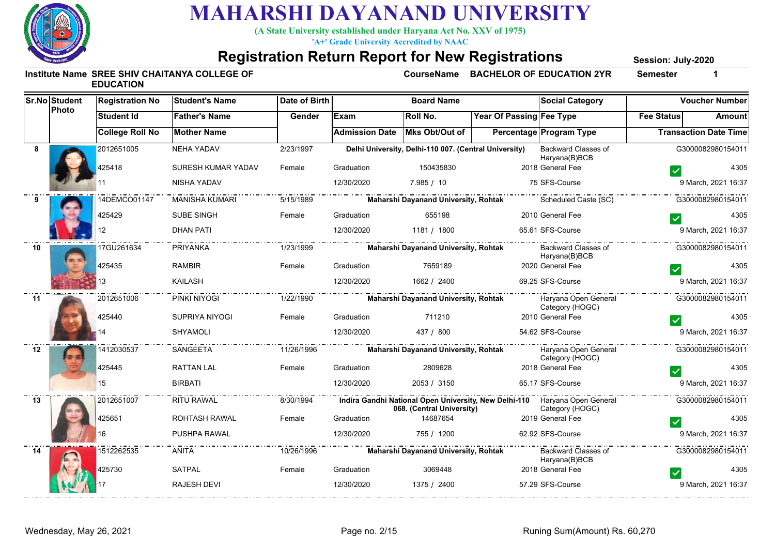

**(A State University established under Haryana Act No. XXV of 1975)**

**'A+' Grade University Accredited by NAAC**

#### **Registration Return Report for New Registrations**

**Session: July-2020**

|    | Sr.No Student | <b>Registration No</b> | <b>Student's Name</b> | <b>Date of Birth</b> |                       | <b>Board Name</b>                                     |                          | <b>Social Category</b>                                                                        |                   | <b>Voucher Number</b>        |
|----|---------------|------------------------|-----------------------|----------------------|-----------------------|-------------------------------------------------------|--------------------------|-----------------------------------------------------------------------------------------------|-------------------|------------------------------|
|    | Photo         | <b>Student Id</b>      | <b>Father's Name</b>  | Gender               | <b>IExam</b>          | Roll No.                                              | Year Of Passing Fee Type |                                                                                               | <b>Fee Status</b> | Amount                       |
|    |               | <b>College Roll No</b> | <b>Mother Name</b>    |                      | <b>Admission Date</b> | Mks Obt/Out of                                        |                          | <b>Percentage Program Type</b>                                                                |                   | <b>Transaction Date Time</b> |
| 8  |               | 2012651005             | <b>NEHA YADAV</b>     | 2/23/1997            |                       | Delhi University, Delhi-110 007. (Central University) |                          | <b>Backward Classes of</b><br>Haryana(B)BCB                                                   |                   | G3000082980154011            |
|    |               | 425418                 | SURESH KUMAR YADAV    | Female               | Graduation            | 150435830                                             |                          | 2018 General Fee                                                                              |                   | 4305                         |
|    |               |                        | NISHA YADAV           |                      | 12/30/2020            | 7.985 / 10                                            |                          | 75 SFS-Course                                                                                 |                   | 9 March, 2021 16:37          |
|    |               | 14DEMCO01147           | <b>MANISHA KUMARI</b> | 5/15/1989            |                       | <b>Maharshi Dayanand University, Rohtak</b>           |                          | Scheduled Caste (SC)                                                                          |                   | G3000082980154011            |
|    |               | 425429                 | SUBE SINGH            | Female               | Graduation            | 655198                                                |                          | 2010 General Fee                                                                              |                   | 4305                         |
|    |               | 12                     | <b>DHAN PATI</b>      |                      | 12/30/2020            | 1181 / 1800                                           |                          | 65.61 SFS-Course                                                                              |                   | 9 March, 2021 16:37          |
| 10 |               | 17GU261634             | PRIYANKA              | 1/23/1999            |                       | Maharshi Dayanand University, Rohtak                  |                          | Backward Classes of<br>Haryana(B)BCB                                                          |                   | G3000082980154011            |
|    |               | 425435                 | RAMBIR                | Female               | Graduation            | 7659189                                               |                          | 2020 General Fee                                                                              |                   | 4305                         |
|    |               |                        | KAILASH               |                      | 12/30/2020            | 1662 / 2400                                           |                          | 69.25 SFS-Course                                                                              |                   | 9 March, 2021 16:37          |
| 11 |               | 2012651006             | PINKI NIYOGI          | $-1/22/1990$         |                       | Maharshi Dayanand University, Rohtak                  |                          | Haryana Open General<br>Category (HOGC)                                                       |                   | G3000082980154011            |
|    |               | 425440                 | SUPRIYA NIYOGI        | Female               | Graduation            | 711210                                                |                          | 2010 General Fee                                                                              |                   | 4305                         |
|    |               |                        | <b>SHYAMOLI</b>       |                      | 12/30/2020            | 437 / 800                                             |                          | 54.62 SFS-Course                                                                              |                   | 9 March, 2021 16:37          |
| 12 |               | 1412030537             | SANGEETA              |                      |                       | Maharshi Dayanand University, Rohtak                  |                          | Haryana Open General<br>Category (HOGC)                                                       |                   | G3000082980154011            |
|    |               | 425445                 | <b>RATTAN LAL</b>     | Female               | Graduation            | 2809628                                               |                          | 2018 General Fee                                                                              |                   | 4305                         |
|    |               | 15                     | <b>BIRBATI</b>        |                      | 12/30/2020            | 2053 / 3150                                           |                          | 65.17 SFS-Course                                                                              |                   | 9 March, 2021 16:37          |
| 13 |               | 2012651007             | RITU RAWAL            | 8/30/1994            |                       | 068. (Central University)                             |                          | Indira Gandhi National Open University, New Delhi-110 Haryana Open General<br>Category (HOGC) |                   | G3000082980154011            |
|    |               | 425651                 | ROHTASH RAWAL         | Female               | Graduation            | 14687654                                              |                          | 2019 General Fee                                                                              |                   | 4305                         |
|    |               |                        | PUSHPA RAWAL          |                      | 12/30/2020            | 755 / 1200                                            |                          | 62.92 SFS-Course                                                                              |                   | 9 March, 2021 16:37          |
| 14 |               | 1512262535             | ANITA                 | 10/26/1996           |                       | Maharshi Dayanand University, Rohtak                  |                          | Backward Classes of<br>Haryana(B)BCB                                                          |                   | G3000082980154011            |
|    |               | 425730                 | SATPAL                | Female               | Graduation            | 3069448                                               |                          | 2018 General Fee                                                                              |                   | 4305                         |
|    |               |                        | <b>RAJESH DEVI</b>    |                      | 12/30/2020            | 1375 / 2400                                           |                          | 57.29 SFS-Course                                                                              |                   | 9 March, 2021 16:37          |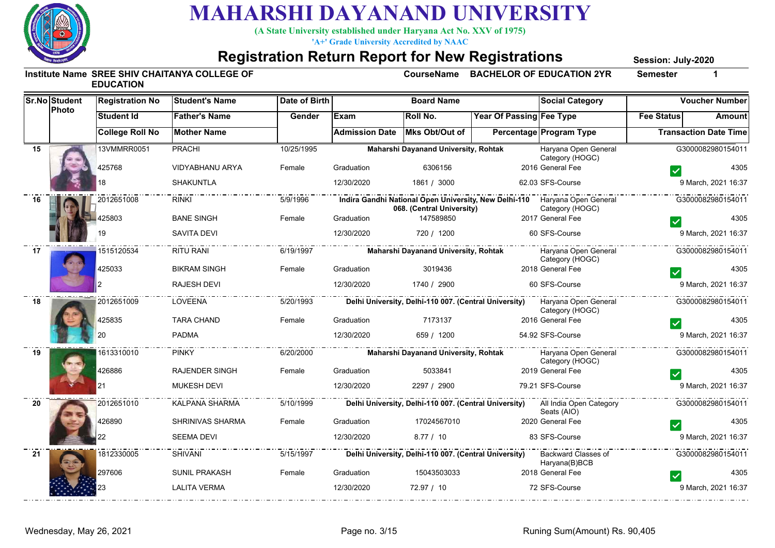

**(A State University established under Haryana Act No. XXV of 1975)**

**'A+' Grade University Accredited by NAAC**

#### **Registration Return Report for New Registrations**

**Session: July-2020**

|    | <b>Sr.No Student</b><br>Photo | <b>Registration No</b> | <b>Student's Name</b> | Date of Birth |                       | <b>Board Name</b>                                     |                          | <b>Social Category</b>                                                                        |                   | <b>Voucher Number</b>        |
|----|-------------------------------|------------------------|-----------------------|---------------|-----------------------|-------------------------------------------------------|--------------------------|-----------------------------------------------------------------------------------------------|-------------------|------------------------------|
|    |                               | Student Id             | <b>Father's Name</b>  | Gender        | Exam                  | <b>Roll No.</b>                                       | Year Of Passing Fee Type |                                                                                               | <b>Fee Status</b> | Amount                       |
|    |                               | <b>College Roll No</b> | <b>Mother Name</b>    |               | <b>Admission Date</b> | Mks Obt/Out of                                        |                          | Percentage Program Type                                                                       |                   | <b>Transaction Date Time</b> |
| 15 |                               | 13VMMRR0051            | PRACHI                | 10/25/1995    |                       | Maharshi Dayanand University, Rohtak                  |                          | Haryana Open General<br>Category (HOGC)                                                       |                   | G3000082980154011            |
|    |                               | 425768                 | VIDYABHANU ARYA       | Female        | Graduation            | 6306156                                               |                          | 2016 General Fee                                                                              |                   | 4305                         |
|    |                               |                        | <b>SHAKUNTLA</b>      |               | 12/30/2020            | 1861 / 3000                                           |                          | 62.03 SFS-Course                                                                              |                   | 9 March, 2021 16:37          |
| 16 |                               | 2012651008             | <b>RINKI</b>          | 5/9/1996      |                       | 068. (Central University)                             |                          | Indira Gandhi National Open University, New Delhi-110 Haryana Open General<br>Category (HOGC) |                   | G3000082980154011            |
|    |                               | 125803                 | <b>BANE SINGH</b>     | Female        | Graduation            | 147589850                                             |                          | 2017 General Fee                                                                              |                   | 4305                         |
|    |                               |                        | <b>SAVITA DEVI</b>    |               | 12/30/2020            | 720 / 1200                                            |                          | 60 SFS-Course                                                                                 |                   | 9 March, 2021 16:37          |
| 17 |                               | 1515120534             | RITU RANI             | 6/19/1997     |                       | Maharshi Dayanand University, Rohtak                  |                          | Haryana Open General<br>Category (HOGC)                                                       | .                 | G3000082980154011            |
|    |                               | 425033                 | <b>BIKRAM SINGH</b>   | Female        | Graduation            | 3019436                                               |                          | 2018 General Fee                                                                              |                   | 4305                         |
|    |                               |                        | <b>RAJESH DEVI</b>    |               | 12/30/2020            | 1740 / 2900                                           |                          | 60 SFS-Course                                                                                 |                   | 9 March, 2021 16:37          |
| 18 |                               | 2012651009             | LOVEENA               | 5/20/1993     |                       |                                                       |                          | Delhi University, Delhi-110 007. (Central University) Haryana Open General<br>Category (HOGC) | . <u>.</u>        | G3000082980154011            |
|    |                               | 425835                 | <b>TARA CHAND</b>     | Female        | Graduation            | 7173137                                               |                          | 2016 General Fee                                                                              |                   | 4305                         |
|    |                               |                        | <b>PADMA</b>          |               | 12/30/2020            | 659 / 1200                                            |                          | 54.92 SFS-Course                                                                              |                   | 9 March, 2021 16:37          |
| 19 |                               | 1613310010             | <b>PINKY</b>          | 6/20/2000     |                       | Maharshi Dayanand University, Rohtak                  |                          | Haryana Open General<br>Category (HOGC)                                                       |                   | G3000082980154011            |
|    |                               | 426886                 | <b>RAJENDER SINGH</b> | Female        | Graduation            | 5033841                                               |                          | 2019 General Fee                                                                              |                   | 4305                         |
|    |                               |                        | <b>MUKESH DEVI</b>    |               | 12/30/2020            | 2297 / 2900                                           |                          | 79.21 SFS-Course                                                                              |                   | 9 March, 2021 16:37          |
| 20 |                               | 2012651010             | KALPANA SHARMA        | 5/10/1999     |                       | Delhi University, Delhi-110 007. (Central University) |                          | All India Open Category<br>Seats (AIO)                                                        |                   | G3000082980154011            |
|    |                               | 426890                 | SHRINIVAS SHARMA      | Female        | Graduation            | 17024567010                                           |                          | 2020 General Fee                                                                              |                   | 4305                         |
|    |                               |                        | SEEMA DEVI            |               | 12/30/2020            | 8.77/10                                               |                          | 83 SFS-Course                                                                                 |                   | 9 March, 2021 16:37          |
| 21 |                               | 1812330005             | SHIVANI               | 5/15/1997     |                       | Delhi University, Delhi-110 007. (Central University) |                          | Backward Classes of<br>Haryana(B)BCB                                                          |                   | G3000082980154011            |
|    |                               | 297606                 | SUNIL PRAKASH         | Female        | Graduation            | 15043503033                                           |                          | 2018 General Fee                                                                              |                   | 4305                         |
|    |                               |                        | <b>LALITA VERMA</b>   |               | 12/30/2020            | 72.97 / 10                                            |                          | 72 SFS-Course                                                                                 |                   | 9 March, 2021 16:37          |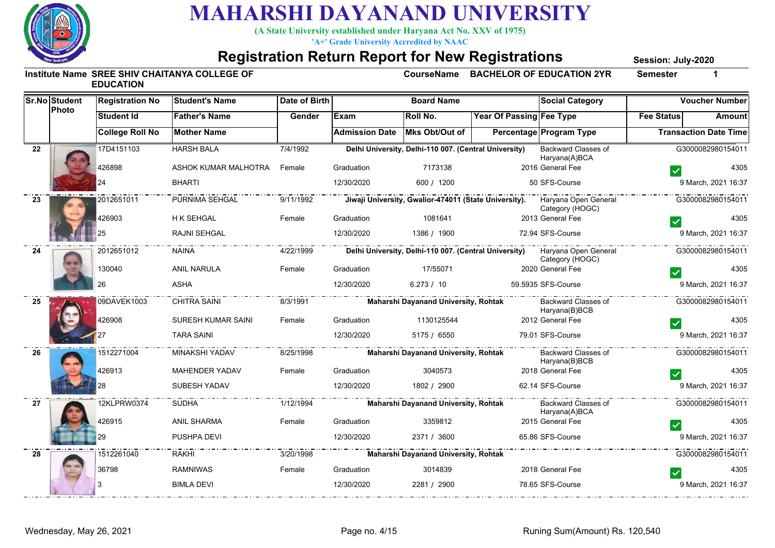

**(A State University established under Haryana Act No. XXV of 1975)**

**'A+' Grade University Accredited by NAAC**

#### **Registration Return Report for New Registrations**

**Session: July-2020**

|    | <b>Sr.No Student</b><br>Photo | <b>Registration No</b> | Student's Name              | Date of Birth |                               | <b>Board Name</b>                                     |                                 | <b>Social Category</b>                                                                        |                   | <b>Voucher Number</b>        |
|----|-------------------------------|------------------------|-----------------------------|---------------|-------------------------------|-------------------------------------------------------|---------------------------------|-----------------------------------------------------------------------------------------------|-------------------|------------------------------|
|    |                               | <b>Student Id</b>      | <b>Father's Name</b>        | Gender        | Exam                          | Roll No.                                              | <b>Year Of Passing Fee Type</b> |                                                                                               | <b>Fee Status</b> | Amount                       |
|    |                               | <b>College Roll No</b> | <b>Mother Name</b>          |               | Admission Date Mks Obt/Out of |                                                       |                                 | Percentage Program Type                                                                       |                   | <b>Transaction Date Time</b> |
| 22 |                               | 17D4151103             | <b>HARSH BALA</b>           | 7/4/1992      |                               | Delhi University, Delhi-110 007. (Central University) |                                 | Backward Classes of<br>Haryana(A)BCA                                                          |                   | G3000082980154011            |
|    |                               | 426898                 | ASHOK KUMAR MALHOTRA Female |               | Graduation                    | 7173138                                               |                                 | 2016 General Fee                                                                              |                   | 4305                         |
|    |                               |                        | <b>BHARTI</b>               |               | 12/30/2020                    | 600 / 1200                                            |                                 | 50 SFS-Course                                                                                 |                   | 9 March, 2021 16:37          |
| 23 |                               | 2012651011             |                             |               |                               |                                                       |                                 | Category (HOGC)                                                                               |                   | G3000082980154011            |
|    |                               | 426903                 | H K SEHGAL                  | Female        | Graduation                    | 1081641                                               |                                 | 2013 General Fee                                                                              |                   | 4305                         |
|    |                               | 25                     | RAJNI SEHGAL                |               | 12/30/2020                    | 1386 / 1900                                           |                                 | 72.94 SFS-Course                                                                              |                   | 9 March, 2021 16:37          |
| 24 |                               | 2012651012             | <b>NAINA</b>                | 4/22/1999     |                               |                                                       |                                 | Delhi University, Delhi-110 007. (Central University) Haryana Open General<br>Category (HOGC) |                   | G3000082980154011            |
|    |                               | 130040                 | <b>ANIL NARULA</b>          | Female        | Graduation                    | 17/55071                                              |                                 | 2020 General Fee                                                                              |                   | 4305                         |
|    |                               | 26                     | <b>ASHA</b>                 |               | 12/30/2020                    | 6.273 / 10                                            |                                 | 59.5935 SFS-Course                                                                            |                   | 9 March, 2021 16:37          |
| 25 |                               | 09DAVEK1003            | <b>CHITRA SAINI</b>         | 8/3/1991      |                               | Maharshi Dayanand University, Rohtak                  |                                 | Backward Classes of<br>Haryana(B)BCB                                                          |                   | G3000082980154011            |
|    |                               | 426908                 | SURESH KUMAR SAINI          | Female        | Graduation                    | 1130125544                                            |                                 | 2012 General Fee                                                                              |                   | 4305                         |
|    |                               |                        | <b>TARA SAINI</b>           |               | 12/30/2020                    | 5175 / 6550                                           |                                 | 79.01 SFS-Course                                                                              |                   | 9 March, 2021 16:37          |
| 26 |                               | 1512271004             | MINAKSHI YADAV              | 8/25/1998     |                               | Maharshi Dayanand University, Rohtak                  |                                 | Backward Classes of<br>Haryana(B)BCB                                                          |                   | G3000082980154011            |
|    |                               | 426913                 | <b>MAHENDER YADAV</b>       | Female        | Graduation                    | 3040573                                               |                                 | 2018 General Fee                                                                              |                   | 4305                         |
|    |                               |                        | SUBESH YADAV                |               | 12/30/2020                    | 1802 / 2900                                           |                                 | 62.14 SFS-Course                                                                              |                   | 9 March, 2021 16:37          |
| 27 |                               | 12KLPRW0374            | <b>SUDHA</b>                | 1/12/1994     |                               | Maharshi Dayanand University, Rohtak                  |                                 | Backward Classes of<br>Haryana(A)BCA                                                          |                   | G3000082980154011            |
|    |                               | 426915                 | <b>ANIL SHARMA</b>          | Female        | Graduation                    | 3359812                                               |                                 | 2015 General Fee                                                                              |                   | 4305                         |
|    |                               |                        | PUSHPA DEVI                 |               | 12/30/2020                    | 2371 / 3600                                           |                                 | 65.86 SFS-Course                                                                              |                   | 9 March, 2021 16:37          |
| 28 |                               | 1512261040             | RAKHI                       | 3/20/1998     |                               | Maharshi Dayanand University, Rohtak                  |                                 |                                                                                               |                   | G3000082980154011            |
|    |                               | 36798                  | <b>RAMNIWAS</b>             | Female        | Graduation                    | 3014839                                               |                                 | 2018 General Fee                                                                              |                   | 4305                         |
|    |                               |                        | <b>BIMLA DEVI</b>           |               | 12/30/2020                    | 2281 / 2900                                           |                                 | 78.65 SFS-Course                                                                              |                   | 9 March, 2021 16:37          |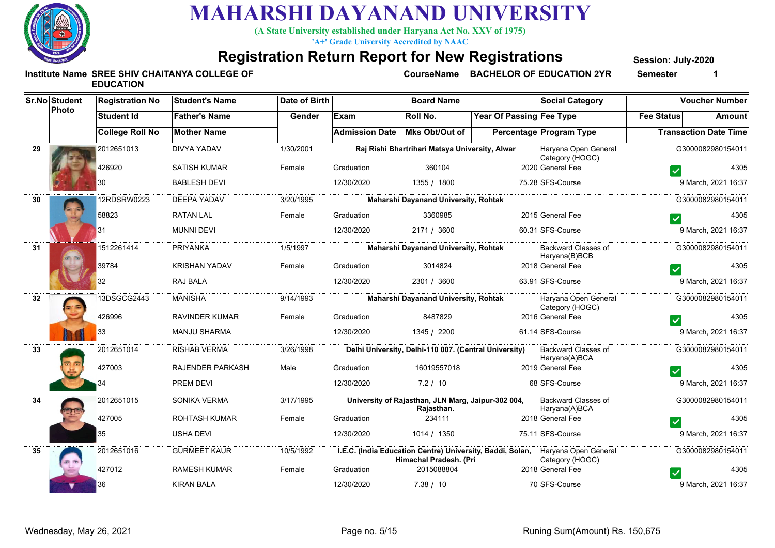

**(A State University established under Haryana Act No. XXV of 1975)**

**'A+' Grade University Accredited by NAAC**

#### **Registration Return Report for New Registrations**

**Session: July-2020**

|    | <b>Sr.No Student</b><br>Photo | <b>Registration No</b> | <b>Student's Name</b> | Date of Birth |                               | <b>Board Name</b>                                                |                                 | <b>Social Category</b>                                                                            |                   | <b>Voucher Number</b>        |
|----|-------------------------------|------------------------|-----------------------|---------------|-------------------------------|------------------------------------------------------------------|---------------------------------|---------------------------------------------------------------------------------------------------|-------------------|------------------------------|
|    |                               | <b>Student Id</b>      | <b>Father's Name</b>  | Gender        | <b>Exam</b>                   | Roll No.                                                         | <b>Year Of Passing Fee Type</b> |                                                                                                   | <b>Fee Status</b> | Amount                       |
|    |                               | <b>College Roll No</b> | <b>Mother Name</b>    |               | Admission Date Mks Obt/Out of |                                                                  |                                 | Percentage Program Type                                                                           |                   | <b>Transaction Date Time</b> |
| 29 |                               | 2012651013             | DIVYA YADAV           | 1/30/2001     |                               | Raj Rishi Bhartrihari Matsya University, Alwar                   |                                 | Haryana Open General<br>Category (HOGC)                                                           |                   | G3000082980154011            |
|    |                               | 426920                 | <b>SATISH KUMAR</b>   | Female        | Graduation                    | 360104                                                           |                                 | 2020 General Fee                                                                                  |                   | 4305                         |
|    |                               | 30                     | <b>BABLESH DEVI</b>   |               | 12/30/2020                    | 1355 / 1800                                                      |                                 | 75.28 SFS-Course                                                                                  |                   | 9 March, 2021 16:37          |
| 30 |                               | 12RDSRW0223            | DEEPA YADAV           | 3/20/1995     |                               | Maharshi Dayanand University, Rohtak                             |                                 |                                                                                                   |                   | G3000082980154011            |
|    |                               | 58823                  | <b>RATAN LAL</b>      | Female        | Graduation                    | 3360985                                                          |                                 | 2015 General Fee                                                                                  |                   | 4305                         |
|    |                               | 31                     | <b>MUNNI DEVI</b>     |               | 12/30/2020                    | 2171 / 3600                                                      |                                 | 60.31 SFS-Course                                                                                  |                   | 9 March, 2021 16:37          |
| 31 |                               | 1512261414             | PRIYANKA              | 1/5/1997      |                               | Maharshi Dayanand University, Rohtak                             |                                 | Backward Classes of<br>Haryana(B)BCB                                                              |                   | G3000082980154011            |
|    |                               | 39784                  | <b>KRISHAN YADAV</b>  | Female        | Graduation                    | 3014824                                                          |                                 | 2018 General Fee                                                                                  |                   | 4305                         |
|    |                               | 32                     | RAJ BALA              |               | 12/30/2020                    | 2301 / 3600                                                      |                                 | 63.91 SFS-Course                                                                                  | .                 | 9 March, 2021 16:37          |
| 32 |                               | 13DSGCG2443            | MANISHA               | 9/14/1993     |                               | <b>Maharshi Dayanand University, Rohtak</b>                      | -                               | Haryana Open General<br>Category (HOGC)                                                           |                   | G3000082980154011            |
|    |                               | 426996                 | <b>RAVINDER KUMAR</b> | Female        | Graduation                    | 8487829                                                          |                                 | 2016 General Fee                                                                                  |                   | 4305                         |
|    |                               | 33                     | <b>MANJU SHARMA</b>   |               | 12/30/2020                    | 1345 / 2200                                                      |                                 | 61.14 SFS-Course                                                                                  |                   | 9 March, 2021 16:37          |
| 33 |                               | 2012651014             | RISHAB VERMA          | 3/26/1998     |                               | Delhi University, Delhi-110 007. (Central University)            |                                 | Backward Classes of<br>Haryana(A)BCA                                                              |                   | G3000082980154011            |
|    |                               | 427003                 | RAJENDER PARKASH      | Male          | Graduation                    | 16019557018                                                      |                                 | 2019 General Fee                                                                                  |                   | 4305                         |
|    |                               |                        | PREM DEVI             |               | 12/30/2020                    | 7.2 / 10                                                         |                                 | 68 SFS-Course                                                                                     |                   | 9 March, 2021 16:37          |
| 34 |                               | 2012651015             | SONIKA VERMA          | 3/17/1995     |                               | University of Rajasthan, JLN Marg, Jaipur-302 004,<br>Rajasthan. |                                 | Backward Classes of<br>Haryana(A)BCA                                                              |                   | G3000082980154011            |
|    |                               | 427005                 | <b>ROHTASH KUMAR</b>  | Female        | Graduation                    | 234111                                                           |                                 | 2018 General Fee                                                                                  |                   | 4305                         |
|    |                               | 35                     | <b>USHA DEVI</b>      |               | 12/30/2020                    | 1014 / 1350                                                      |                                 | 75.11 SFS-Course                                                                                  |                   | 9 March, 2021 16:37          |
| 35 |                               | 2012651016             | <b>GURMEET KAUR</b>   | 10/5/1992     |                               | Himachal Pradesh. (Pri                                           |                                 | I.E.C. (India Education Centre) University, Baddi, Solan, Haryana Open General<br>Category (HOGC) |                   | G3000082980154011            |
|    |                               | 427012                 | <b>RAMESH KUMAR</b>   | Female        | Graduation                    | 2015088804                                                       |                                 | 2018 General Fee                                                                                  |                   | 4305                         |
|    |                               | 36                     | <b>KIRAN BALA</b>     |               | 12/30/2020                    | 7.38 / 10                                                        |                                 | 70 SFS-Course                                                                                     |                   | 9 March, 2021 16:37          |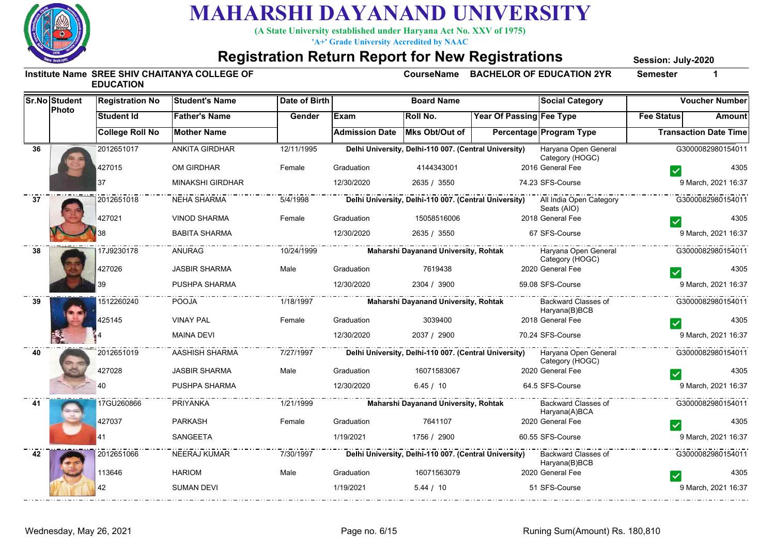

**(A State University established under Haryana Act No. XXV of 1975)**

**'A+' Grade University Accredited by NAAC**

#### **Registration Return Report for New Registrations**

**Session: July-2020**

|    | <b>Sr.No Student</b><br>Photo | <b>Registration No</b> | <b>Student's Name</b>   | Date of Birth |                       | <b>Board Name</b>                                     |                                                       | <b>Social Category</b>                  |                   | <b>Voucher Number</b>        |
|----|-------------------------------|------------------------|-------------------------|---------------|-----------------------|-------------------------------------------------------|-------------------------------------------------------|-----------------------------------------|-------------------|------------------------------|
|    |                               | <b>Student Id</b>      | <b>Father's Name</b>    | Gender        | Exam                  | <b>Roll No.</b>                                       | Year Of Passing Fee Type                              |                                         | <b>Fee Status</b> | Amount                       |
|    |                               | <b>College Roll No</b> | <b>Mother Name</b>      |               | <b>Admission Date</b> | Mks Obt/Out of                                        |                                                       | Percentage Program Type                 |                   | <b>Transaction Date Time</b> |
| 36 |                               | 2012651017             | <b>ANKITA GIRDHAR</b>   | 12/11/1995    |                       | Delhi University, Delhi-110 007. (Central University) |                                                       | Haryana Open General<br>Category (HOGC) |                   | G3000082980154011            |
|    |                               | 427015                 | OM GIRDHAR              | Female        | Graduation            | 4144343001                                            |                                                       | 2016 General Fee                        |                   | 4305                         |
|    |                               | 37                     | <b>MINAKSHI GIRDHAR</b> |               | 12/30/2020            | 2635 / 3550                                           |                                                       | 74.23 SFS-Course                        |                   | 9 March, 2021 16:37          |
| 37 |                               | 2012651018             | NEHA SHARMA             | 5/4/1998      |                       |                                                       | Delhi University, Delhi-110 007. (Central University) | All India Open Category<br>Seats (AIO)  |                   | G3000082980154011            |
|    |                               | 427021                 | <b>VINOD SHARMA</b>     | Female        | Graduation            | 15058516006                                           |                                                       | 2018 General Fee                        |                   | 4305                         |
|    |                               |                        | <b>BABITA SHARMA</b>    |               | 12/30/2020            | 2635 / 3550                                           |                                                       | 67 SFS-Course                           |                   | 9 March, 2021 16:37          |
| 38 |                               | 17J9230178             | ANURAG                  | 10/24/1999    |                       | <b>Maharshi Dayanand University, Rohtak</b>           |                                                       | Haryana Open General<br>Category (HOGC) |                   | G3000082980154011            |
|    |                               | 427026                 | <b>JASBIR SHARMA</b>    | Male          | Graduation            | 7619438                                               |                                                       | 2020 General Fee                        |                   | 4305                         |
|    |                               |                        | PUSHPA SHARMA           |               | 12/30/2020            | 2304 / 3900                                           |                                                       | 59.08 SFS-Course                        |                   | 9 March, 2021 16:37          |
| 39 |                               | 1512260240             | POOJA                   | 1/18/1997     |                       | <b>Maharshi Dayanand University, Rohtak</b>           |                                                       | Backward Classes of<br>Haryana(B)BCB    |                   | G3000082980154011            |
|    |                               | 425145                 | <b>VINAY PAL</b>        | Female        | Graduation            | 3039400                                               |                                                       | 2018 General Fee                        |                   | 4305                         |
|    |                               |                        | <b>MAINA DEVI</b>       |               | 12/30/2020            | 2037 / 2900                                           |                                                       | 70.24 SFS-Course                        |                   | 9 March, 2021 16:37          |
| 40 |                               | 2012651019             | AASHISH SHARMA          | 7/27/1997     |                       | Delhi University, Delhi-110 007. (Central University) |                                                       | Haryana Open General<br>Category (HOGC) |                   | G3000082980154011            |
|    |                               | 427028                 | <b>JASBIR SHARMA</b>    | Male          | Graduation            | 16071583067                                           |                                                       | 2020 General Fee                        |                   | 4305                         |
|    |                               | 40                     | PUSHPA SHARMA           |               | 12/30/2020            | 6.45 / 10                                             |                                                       | 64.5 SFS-Course                         |                   | 9 March, 2021 16:37          |
| 41 |                               | 17GU260866             | PRIYANKA                | 1/21/1999     |                       | <b>Maharshi Dayanand University, Rohtak</b>           |                                                       | Backward Classes of<br>Haryana(A)BCA    |                   | G3000082980154011            |
|    |                               | 427037                 | <b>PARKASH</b>          | Female        | Graduation            | 7641107                                               |                                                       | 2020 General Fee                        |                   | 4305                         |
|    |                               | 41                     | SANGEETA                |               | 1/19/2021             | 1756 / 2900                                           |                                                       | 60.55 SFS-Course                        |                   | 9 March, 2021 16:37          |
| 42 |                               | 2012651066             | <b>NEERAJ KUMAR</b>     | 7/30/1997     |                       | Delhi University, Delhi-110 007. (Central University) |                                                       | Backward Classes of<br>Haryana(B)BCB    |                   | G3000082980154011            |
|    |                               | 113646                 | <b>HARIOM</b>           | Male          | Graduation            | 16071563079                                           |                                                       | 2020 General Fee                        |                   | 4305                         |
|    |                               | 42                     | <b>SUMAN DEVI</b>       |               | 1/19/2021             | 5.44 / 10                                             |                                                       | 51 SFS-Course                           |                   | 9 March, 2021 16:37          |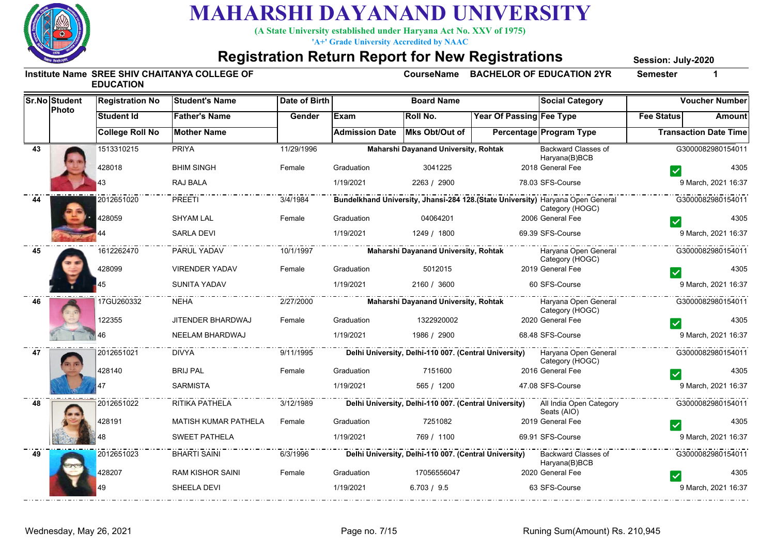

**(A State University established under Haryana Act No. XXV of 1975)**

**'A+' Grade University Accredited by NAAC**

#### **Registration Return Report for New Registrations**

**Session: July-2020**

|    | <b>Sr.No Student</b><br>Photo | <b>Registration No</b> | <b>Student's Name</b>       | Date of Birth |                       | <b>Board Name</b>                                     |                          | <b>Social Category</b>                                                                            |                              | <b>Voucher Number</b> |
|----|-------------------------------|------------------------|-----------------------------|---------------|-----------------------|-------------------------------------------------------|--------------------------|---------------------------------------------------------------------------------------------------|------------------------------|-----------------------|
|    |                               | <b>Student Id</b>      | <b>Father's Name</b>        | Gender        | <b>Exam</b>           | Roll No.                                              | Year Of Passing Fee Type |                                                                                                   | <b>Fee Status</b>            | Amount                |
|    |                               | <b>College Roll No</b> | <b>Mother Name</b>          |               | <b>Admission Date</b> | Mks Obt/Out of                                        |                          | <b>Percentage Program Type</b>                                                                    | <b>Transaction Date Time</b> |                       |
| 43 |                               | 1513310215             | <b>PRIYA</b>                | 11/29/1996    |                       | Maharshi Dayanand University, Rohtak                  |                          | Backward Classes of<br>Haryana(B)BCB                                                              |                              | G3000082980154011     |
|    |                               | 428018                 | <b>BHIM SINGH</b>           | Female        | Graduation            | 3041225                                               |                          | 2018 General Fee                                                                                  |                              | 4305                  |
|    |                               |                        | RAJ BALA                    |               | 1/19/2021             | 2263 / 2900                                           |                          | 78.03 SFS-Course                                                                                  |                              | 9 March, 2021 16:37   |
| 44 |                               | 2012651020             | <b>PREETI</b>               | 3/4/1984      |                       |                                                       |                          | Bundelkhand University, Jhansi-284 128.(State University) Haryana Open General<br>Category (HOGC) |                              | G3000082980154011     |
|    |                               | 428059                 | <b>SHYAM LAL</b>            | Female        | Graduation            | 04064201                                              |                          | 2006 General Fee                                                                                  |                              | 4305                  |
|    |                               |                        | <b>SARLA DEVI</b>           |               | 1/19/2021             | 1249 / 1800                                           |                          | 69.39 SFS-Course                                                                                  |                              | 9 March, 2021 16:37   |
| 45 |                               | 1612262470             | PARUL YADAV                 | 10/1/1997     |                       | Maharshi Dayanand University, Rohtak                  |                          | Haryana Open General<br>Category (HOGC)                                                           | .                            | G3000082980154011     |
|    |                               | 428099                 | <b>VIRENDER YADAV</b>       | Female        | Graduation            | 5012015                                               |                          | 2019 General Fee                                                                                  |                              | 4305                  |
|    |                               |                        | <b>SUNITA YADAV</b>         |               | 1/19/2021             | 2160 / 3600                                           |                          | 60 SFS-Course                                                                                     |                              | 9 March, 2021 16:37   |
| 46 |                               | 17GU260332             | <b>NEHA</b>                 | 2/27/2000     |                       | <b>Maharshi Dayanand University, Rohtak</b>           |                          | Haryana Open General<br>Category (HOGC)                                                           |                              | G3000082980154011     |
|    |                               | 122355                 | JITENDER BHARDWAJ           | Female        | Graduation            | 1322920002                                            |                          | 2020 General Fee                                                                                  |                              | 4305                  |
|    |                               |                        | NEELAM BHARDWAJ             |               | 1/19/2021             | 1986 / 2900                                           |                          | 68.48 SFS-Course                                                                                  |                              | 9 March, 2021 16:37   |
| 47 |                               | 2012651021             | <b>DIVYA</b>                | 9/11/1995     |                       |                                                       |                          | Delhi University, Delhi-110 007. (Central University) Haryana Open General<br>Category (HOGC)     |                              | G3000082980154011     |
|    |                               | 428140                 | <b>BRIJ PAL</b>             | Female        | Graduation            | 7151600                                               |                          | 2016 General Fee                                                                                  |                              | 4305                  |
|    |                               |                        | <b>SARMISTA</b>             |               | 1/19/2021             | 565 / 1200                                            |                          | 47.08 SFS-Course                                                                                  |                              | 9 March, 2021 16:37   |
| 48 |                               | 2012651022             | RITIKA PATHELA              | 3/12/1989     |                       |                                                       |                          | Delhi University, Delhi-110 007. (Central University) All India Open Category<br>Seats (AIO)      |                              | G3000082980154011     |
|    |                               | 428191                 | <b>MATISH KUMAR PATHELA</b> | Female        | Graduation            | 7251082                                               |                          | 2019 General Fee                                                                                  |                              | 4305                  |
|    |                               |                        | <b>SWEET PATHELA</b>        |               | 1/19/2021             | 769 / 1100                                            |                          | 69.91 SFS-Course                                                                                  |                              | 9 March, 2021 16:37   |
| 49 |                               | 2012651023             | <b>BHARTI SAINI</b>         | 6/3/1996      |                       | Delhi University, Delhi-110 007. (Central University) |                          | Backward Classes of<br>Haryana(B)BCB                                                              |                              | G3000082980154011     |
|    |                               | 428207                 | <b>RAM KISHOR SAINI</b>     | Female        | Graduation            | 17056556047                                           |                          | 2020 General Fee                                                                                  |                              | 4305                  |
|    |                               | 49                     | SHEELA DEVI                 |               | 1/19/2021             | 6.703 / 9.5                                           |                          | 63 SFS-Course                                                                                     |                              | 9 March, 2021 16:37   |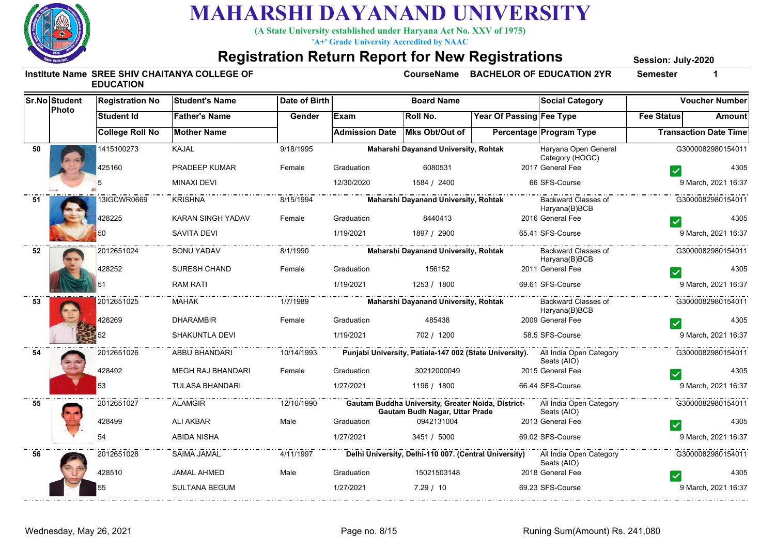

**(A State University established under Haryana Act No. XXV of 1975)**

**'A+' Grade University Accredited by NAAC**

#### **Registration Return Report for New Registrations**

**Session: July-2020**

|    | <b>Sr.No Student</b><br>Photo | <b>Registration No</b> | <b>Student's Name</b>                      | <b>Date of Birth</b>                    |                       | <b>Board Name</b>                           |                          | <b>Social Category</b>                                                                         | <b>Voucher Number</b>        |               |
|----|-------------------------------|------------------------|--------------------------------------------|-----------------------------------------|-----------------------|---------------------------------------------|--------------------------|------------------------------------------------------------------------------------------------|------------------------------|---------------|
|    |                               | <b>Student Id</b>      | <b>Father's Name</b>                       | Gender                                  | Exam                  | Roll No.                                    | Year Of Passing Fee Type |                                                                                                | <b>Fee Status</b>            | <b>Amount</b> |
|    |                               | <b>College Roll No</b> | <b>Mother Name</b>                         |                                         | <b>Admission Date</b> | Mks Obt/Out of                              |                          | <b>Percentage Program Type</b>                                                                 | <b>Transaction Date Time</b> |               |
| 50 |                               | 1415100273             | <b>KAJAL</b>                               | 9/18/1995                               |                       | <b>Maharshi Dayanand University, Rohtak</b> |                          | Haryana Open General<br>Category (HOGC)                                                        | G3000082980154011            |               |
|    |                               | 425160                 | PRADEEP KUMAR                              | Female                                  | Graduation            | 6080531                                     |                          | 2017 General Fee                                                                               |                              | 4305          |
|    |                               |                        | <b>MINAXI DEVI</b>                         |                                         | 12/30/2020            | 1584 / 2400                                 |                          | 66 SFS-Course                                                                                  | 9 March, 2021 16:37          |               |
| 51 |                               | 13IGCWR0669            |                                            | 8/15/1994                               |                       | Maharshi Dayanand University, Rohtak        |                          | Haryana(B)BCB                                                                                  | G3000082980154011            |               |
|    |                               | 428225                 | KARAN SINGH YADAV                          | Female                                  | Graduation            | 8440413                                     |                          | 2016 General Fee                                                                               |                              | 4305          |
|    |                               | 50                     | SAVITA DEVI                                |                                         | 1/19/2021             | 1897 / 2900                                 |                          | 65.41 SFS-Course                                                                               | 9 March, 2021 16:37          |               |
| 52 |                               | 2012651024             | SONU YADAV                                 | . _ _ _ _ _ _ _ _ _ _ _ _ _<br>8/1/1990 |                       | Maharshi Dayanand University, Rohtak        |                          | Backward Classes of<br>Haryana(B)BCB                                                           | G3000082980154011            |               |
|    |                               | 428252                 | <b>SURESH CHAND</b>                        | Female                                  | Graduation            | 156152                                      |                          | 2011 General Fee                                                                               |                              | 4305          |
|    |                               |                        | RAM RATI                                   |                                         | 1/19/2021             | 1253 / 1800                                 |                          | 69.61 SFS-Course                                                                               | 9 March, 2021 16:37          |               |
| 53 |                               | 2012651025             | <b>MAHAK</b>                               | 1/7/1989                                |                       | Maharshi Dayanand University, Rohtak        |                          | Backward Classes of<br>Haryana(B)BCB                                                           | G3000082980154011            |               |
|    |                               | 428269                 | <b>DHARAMBIR</b>                           | Female                                  | Graduation            | 485438                                      |                          | 2009 General Fee                                                                               |                              | 4305          |
|    |                               |                        | SHAKUNTLA DEVI                             |                                         | 1/19/2021             | 702 / 1200                                  |                          | 58.5 SFS-Course                                                                                | 9 March, 2021 16:37          |               |
| 54 |                               | 2012651026             | ABBU BHANDARI                              | 10/14/1993                              |                       |                                             |                          | Punjabi University, Patiala-147 002 (State University). All India Open Category<br>Seats (AIO) | G3000082980154011            |               |
|    |                               | 428492                 | MEGH RAJ BHANDARI                          | Female                                  | Graduation            | 30212000049                                 |                          | 2015 General Fee                                                                               |                              | 4305          |
|    |                               | 53                     | <b>TULASA BHANDARI</b>                     |                                         | 1/27/2021             | 1196 / 1800                                 |                          | 66.44 SFS-Course                                                                               | 9 March, 2021 16:37          |               |
| 55 |                               | 2012651027             | - - - - - - <del>.</del><br><b>ALAMGIR</b> | 12/10/1990                              |                       | Gautam Budh Nagar, Uttar Prade              |                          | Gautam Buddha University, Greater Noida, District- All India Open Category<br>Seats (AIO)      | G3000082980154011            |               |
|    |                               | 428499                 | <b>ALI AKBAR</b>                           | Male                                    | Graduation            | 0942131004                                  |                          | 2013 General Fee                                                                               |                              | 4305          |
|    |                               |                        | ABIDA NISHA                                |                                         | 1/27/2021             | 3451 / 5000                                 |                          | 69.02 SFS-Course                                                                               | 9 March, 2021 16:37          |               |
| 56 |                               | 2012651028             | SAIMA JAMAL                                | 4/11/1997                               |                       |                                             |                          | Delhi University, Delhi-110 007. (Central University) All India Open Category<br>Seats (AIO)   | G3000082980154011            |               |
|    |                               | 428510                 | <b>JAMAL AHMED</b>                         | Male                                    | Graduation            | 15021503148                                 |                          | 2018 General Fee                                                                               |                              | 4305          |
|    |                               | 55                     | SULTANA BEGUM                              |                                         | 1/27/2021             | 7.29 / 10                                   |                          | 69.23 SFS-Course                                                                               | 9 March, 2021 16:37          |               |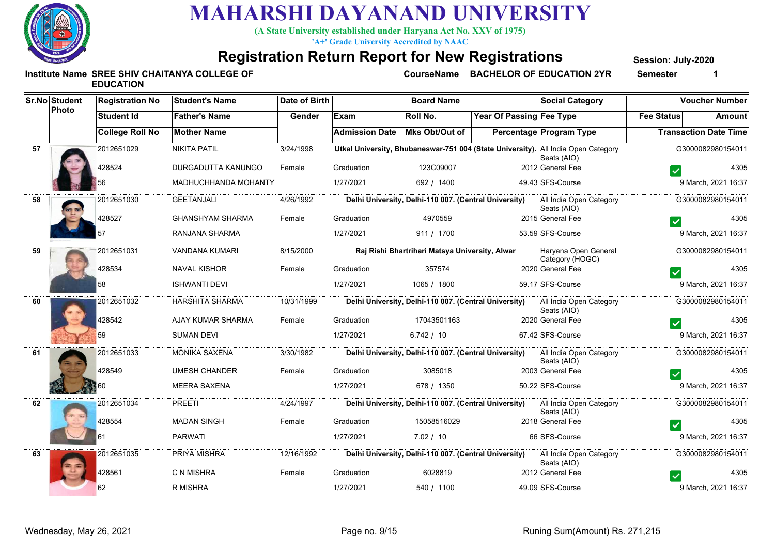

**(A State University established under Haryana Act No. XXV of 1975)**

**'A+' Grade University Accredited by NAAC**

#### **Registration Return Report for New Registrations**

**Session: July-2020**

|    | <b>Sr.No Student</b> | <b>Registration No</b> | <b>Student's Name</b>   | Date of Birth |                       | <b>Board Name</b>                              |                          | <b>Social Category</b>                                                                           | <b>Voucher Number</b>           |        |
|----|----------------------|------------------------|-------------------------|---------------|-----------------------|------------------------------------------------|--------------------------|--------------------------------------------------------------------------------------------------|---------------------------------|--------|
|    | Photo                | <b>Student Id</b>      | <b>Father's Name</b>    | Gender        | Exam                  | <b>Roll No.</b>                                | Year Of Passing Fee Type |                                                                                                  | <b>Fee Status</b>               | Amount |
|    |                      | <b>College Roll No</b> | <b>Mother Name</b>      |               | <b>Admission Date</b> | Mks Obt/Out of                                 |                          | <b>Percentage Program Type</b>                                                                   | <b>Transaction Date Time</b>    |        |
| 57 |                      | 2012651029             | <b>NIKITA PATIL</b>     | 3/24/1998     |                       |                                                |                          | Utkal University, Bhubaneswar-751 004 (State University). All India Open Category<br>Seats (AIO) | G3000082980154011               |        |
|    |                      | 428524                 | DURGADUTTA KANUNGO      | Female        | Graduation            | 123C09007                                      |                          | 2012 General Fee                                                                                 |                                 | 4305   |
|    |                      |                        | MADHUCHHANDA MOHANTY    |               | 1/27/2021             | 692 / 1400                                     |                          | 49.43 SFS-Course                                                                                 | 9 March, 2021 16:37             |        |
| 58 |                      | 2012651030             | <b>GEETANJALI</b>       | 4/26/1992     |                       |                                                |                          | Delhi University, Delhi-110 007. (Central University) All India Open Category<br>Seats (AIO)     | G3000082980154011               |        |
|    |                      | 428527                 | <b>GHANSHYAM SHARMA</b> | Female        | Graduation            | 4970559                                        |                          | 2015 General Fee                                                                                 |                                 | 4305   |
|    |                      |                        | RANJANA SHARMA          |               | 1/27/2021             | 911 / 1700                                     |                          | 53.59 SFS-Course                                                                                 | 9 March, 2021 16:37             |        |
| 59 |                      | 2012651031             | VANDANA KUMARI          | 8/15/2000     |                       | Raj Rishi Bhartrihari Matsya University, Alwar |                          | Haryana Open General<br>Category (HOGC)                                                          | .<br>G3000082980154011          |        |
|    |                      | 428534                 | <b>NAVAL KISHOR</b>     | Female        | Graduation            | 357574                                         |                          | 2020 General Fee                                                                                 |                                 | 4305   |
|    |                      | 58                     | <b>ISHWANTI DEVI</b>    |               | 1/27/2021             | 1065 / 1800                                    |                          | 59.17 SFS-Course                                                                                 | 9 March, 2021 16:37             |        |
| 60 |                      | 2012651032             | HARSHITA SHARMA         | $-10/31/1999$ |                       |                                                |                          | Delhi University, Delhi-110 007. (Central University) All India Open Category<br>Seats (AIO)     | G3000082980154011               |        |
|    |                      | 428542                 | AJAY KUMAR SHARMA       | Female        | Graduation            | 17043501163                                    |                          | 2020 General Fee                                                                                 |                                 | 4305   |
|    |                      | 59                     | <b>SUMAN DEVI</b>       |               | 1/27/2021             | 6.742 / 10                                     |                          | 67.42 SFS-Course                                                                                 | 9 March, 2021 16:37             |        |
| 61 |                      | 2012651033             | <b>MONIKA SAXENA</b>    | 3/30/1982     |                       |                                                |                          | Delhi University, Delhi-110 007. (Central University) All India Open Category<br>Seats (AIO)     | G3000082980154011               |        |
|    |                      | 428549                 | UMESH CHANDER           | Female        | Graduation            | 3085018                                        |                          | 2003 General Fee                                                                                 |                                 | 4305   |
|    |                      |                        | <b>MEERA SAXENA</b>     |               | 1/27/2021             | 678 / 1350                                     |                          | 50.22 SFS-Course                                                                                 | 9 March, 2021 16:37             |        |
| 62 |                      | 2012651034             | PREETI                  | 4/24/1997     |                       |                                                |                          | Delhi University, Delhi-110 007. (Central University) All India Open Category<br>Seats (AIO)     | . <b>.</b><br>G3000082980154011 |        |
|    |                      | 428554                 | <b>MADAN SINGH</b>      | Female        | Graduation            | 15058516029                                    |                          | 2018 General Fee                                                                                 |                                 | 4305   |
|    |                      |                        | <b>PARWATI</b>          |               | 1/27/2021             | 7.02 / 10                                      |                          | 66 SFS-Course                                                                                    | 9 March, 2021 16:37             |        |
| 63 |                      | 2012651035             | PRIYA MISHRA            | 12/16/1992    |                       |                                                |                          | Delhi University, Delhi-110 007. (Central University) All India Open Category<br>Seats (AIO)     | G3000082980154011               |        |
|    |                      | 428561                 | C N MISHRA              | Female        | Graduation            | 6028819                                        |                          | 2012 General Fee                                                                                 |                                 | 4305   |
|    |                      | 62                     | R MISHRA                |               | 1/27/2021             | 540 / 1100                                     |                          | 49.09 SFS-Course                                                                                 | 9 March, 2021 16:37             |        |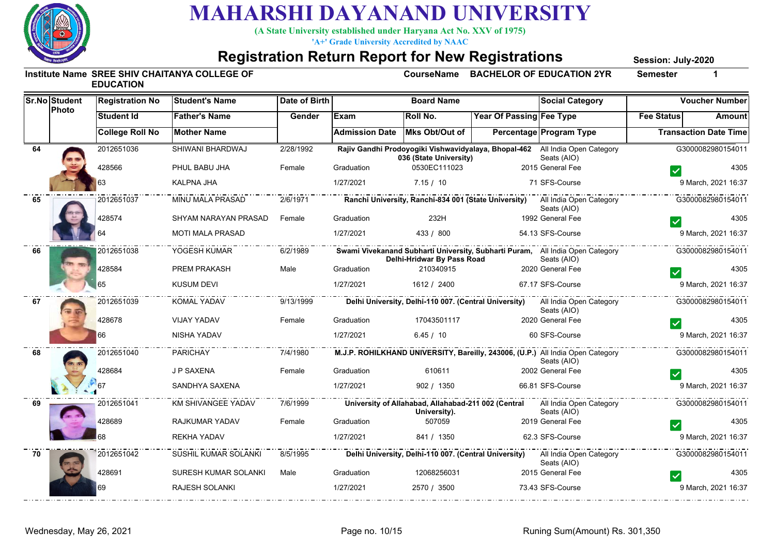

**(A State University established under Haryana Act No. XXV of 1975)**

**'A+' Grade University Accredited by NAAC**

#### **Registration Return Report for New Registrations**

**Session: July-2020**

|    | Sr.No Student<br>Photo | <b>Registration No</b> | <b>Student's Name</b>   | Date of Birth |                       | <b>Board Name</b>                                                   |                          | <b>Social Category</b>                                                                        | <b>Voucher Number</b>        |        |
|----|------------------------|------------------------|-------------------------|---------------|-----------------------|---------------------------------------------------------------------|--------------------------|-----------------------------------------------------------------------------------------------|------------------------------|--------|
|    |                        | <b>Student Id</b>      | <b>Father's Name</b>    | Gender        | <b>IExam</b>          | Roll No.                                                            | Year Of Passing Fee Type |                                                                                               | <b>Fee Status</b>            | Amount |
|    |                        | <b>College Roll No</b> | <b>Mother Name</b>      |               | <b>Admission Date</b> | Mks Obt/Out of                                                      |                          | Percentage Program Type                                                                       | <b>Transaction Date Time</b> |        |
| 64 |                        | 2012651036             | SHIWANI BHARDWAJ        | 2/28/1992     |                       | 036 (State University)                                              |                          | Rajiv Gandhi Prodoyogiki Vishwavidyalaya, Bhopal-462 All India Open Category<br>Seats (AIO)   | G3000082980154011            |        |
|    |                        | 428566                 | PHUL BABU JHA           | Female        | Graduation            | 0530EC111023                                                        |                          | 2015 General Fee                                                                              |                              | 4305   |
|    |                        |                        | KALPNA JHA              |               | 1/27/2021             | 7.15 / 10                                                           |                          | 71 SFS-Course                                                                                 | 9 March, 2021 16:37          |        |
| 65 |                        | 2012651037             | <b>MINU MALA PRASAD</b> | 2/6/1971      |                       |                                                                     |                          | Ranchi University, Ranchi-834 001 (State University) All India Open Category<br>Seats (AIO)   | G3000082980154011            |        |
|    |                        | 428574                 | SHYAM NARAYAN PRASAD    | Female        | Graduation            | 232H                                                                |                          | 1992 General Fee                                                                              |                              | 4305   |
|    |                        |                        | <b>MOTI MALA PRASAD</b> |               | 1/27/2021             | 433 / 800                                                           |                          | 54.13 SFS-Course                                                                              | 9 March, 2021 16:37          |        |
| 66 |                        | 2012651038             | YOGESH KUMAR            | 6/2/1989      |                       | Delhi-Hridwar By Pass Road                                          |                          | Swami Vivekanand Subharti University, Subharti Puram, All India Open Category<br>Seats (AIO)  | G3000082980154011            |        |
|    |                        | 428584                 | <b>PREM PRAKASH</b>     | Male          | Graduation            | 210340915                                                           |                          | 2020 General Fee                                                                              |                              | 4305   |
|    |                        | 65                     | <b>KUSUM DEVI</b>       |               | 1/27/2021             | 1612 / 2400                                                         |                          | 67.17 SFS-Course                                                                              | 9 March, 2021 16:37          |        |
| 67 |                        | 2012651039             | KOMAL YADAV             | 9/13/1999     |                       |                                                                     |                          | Delhi University, Delhi-110 007. (Central University) All India Open Category<br>Seats (AIO)  | G3000082980154011            |        |
|    |                        | 428678                 | <b>VIJAY YADAV</b>      | Female        | Graduation            | 17043501117                                                         |                          | 2020 General Fee                                                                              |                              | 4305   |
|    |                        | 66                     | NISHA YADAV             |               | 1/27/2021             | 6.45 / 10                                                           |                          | 60 SFS-Course                                                                                 | 9 March, 2021 16:37          |        |
| 68 |                        | 2012651040             | PARICHAY                | 7/4/1980      |                       |                                                                     |                          | M.J.P. ROHILKHAND UNIVERSITY, Bareilly, 243006, (U.P.) All India Open Category<br>Seats (AIO) | G3000082980154011            |        |
|    |                        | 428684                 | J P SAXENA              | Female        | Graduation            | 610611                                                              |                          | 2002 General Fee                                                                              |                              | 4305   |
|    |                        |                        | SANDHYA SAXENA          |               | 1/27/2021             | 902 / 1350                                                          |                          | 66.81 SFS-Course                                                                              | 9 March, 2021 16:37          |        |
| 69 |                        | 2012651041             | KM SHIVANGEE YADAV      | 7/6/1999      |                       | University of Allahabad, Allahabad-211 002 (Central<br>University). |                          | All India Open Category<br>Seats (AIO)                                                        | .<br>G3000082980154011       |        |
|    |                        | 428689                 | RAJKUMAR YADAV          | Female        | Graduation            | 507059                                                              |                          | 2019 General Fee                                                                              |                              | 4305   |
|    |                        |                        | <b>REKHA YADAV</b>      |               | 1/27/2021             | 841 / 1350                                                          |                          | 62.3 SFS-Course                                                                               | 9 March, 2021 16:37          |        |
| 70 |                        | 2012651042             | SUSHIL KUMAR SOLANKI    | 8/5/1995      |                       |                                                                     |                          | Delhi University, Delhi-110 007. (Central University) All India Open Category<br>Seats (AIO)  | G3000082980154011            |        |
|    |                        | 428691                 | SURESH KUMAR SOLANKI    | Male          | Graduation            | 12068256031                                                         |                          | 2015 General Fee                                                                              |                              | 4305   |
|    |                        | 69                     | <b>RAJESH SOLANKI</b>   |               | 1/27/2021             | 2570 / 3500                                                         |                          | 73.43 SFS-Course                                                                              | 9 March, 2021 16:37          |        |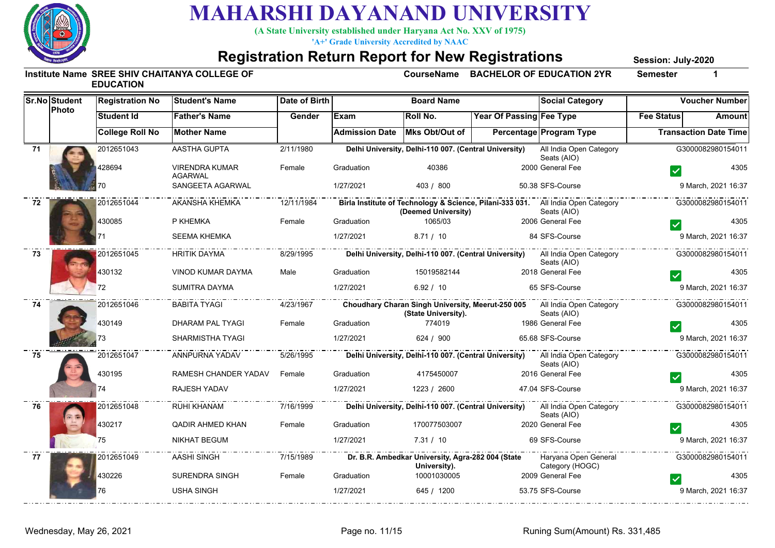

**(A State University established under Haryana Act No. XXV of 1975)**

**'A+' Grade University Accredited by NAAC**

#### **Registration Return Report for New Registrations**

**Session: July-2020**

|    | <b>Sr.No Student</b><br>Photo | <b>Registration No</b> | <b>Student's Name</b>                   | Date of Birth |                       | <b>Board Name</b>                                                 |                          | <b>Social Category</b>                                                                          |                   | <b>Voucher Number</b>        |
|----|-------------------------------|------------------------|-----------------------------------------|---------------|-----------------------|-------------------------------------------------------------------|--------------------------|-------------------------------------------------------------------------------------------------|-------------------|------------------------------|
|    |                               | <b>Student Id</b>      | <b>Father's Name</b>                    | Gender        | Exam                  | Roll No.                                                          | Year Of Passing Fee Type |                                                                                                 | <b>Fee Status</b> | Amount                       |
|    |                               | <b>College Roll No</b> | <b>Mother Name</b>                      |               | <b>Admission Date</b> | Mks Obt/Out of                                                    |                          | <b>Percentage Program Type</b>                                                                  |                   | <b>Transaction Date Time</b> |
| 71 |                               | 2012651043             | AASTHA GUPTA                            | 2/11/1980     |                       | Delhi University, Delhi-110 007. (Central University)             |                          | All India Open Category<br>Seats (AIO)                                                          |                   | G3000082980154011            |
|    |                               | 428694                 | <b>VIRENDRA KUMAR</b><br><b>AGARWAL</b> | Female        | Graduation            | 40386                                                             |                          | 2000 General Fee                                                                                |                   | 4305                         |
|    |                               |                        | SANGEETA AGARWAL                        |               | 1/27/2021             | 403 / 800                                                         |                          | 50.38 SFS-Course                                                                                |                   | 9 March, 2021 16:37          |
| 72 |                               | 2012651044             | AKANSHA KHEMKA                          | 12/11/1984    |                       | (Deemed University)                                               |                          | Birla Institute of Technology & Science, Pilani-333 031. All India Open Category<br>Seats (AIO) |                   | G3000082980154011            |
|    |                               | 430085                 | P KHEMKA                                | Female        | Graduation            | 1065/03                                                           |                          | 2006 General Fee                                                                                |                   | 4305                         |
|    |                               |                        | <b>SEEMA KHEMKA</b>                     |               | 1/27/2021             | 8.71 / 10                                                         |                          | 84 SFS-Course                                                                                   |                   | 9 March, 2021 16:37          |
| 73 |                               | 2012651045             | <b>HRITIK DAYMA</b>                     | 8/29/1995     |                       |                                                                   |                          | Delhi University, Delhi-110 007. (Central University) All India Open Category<br>Seats (AIO)    |                   | G3000082980154011            |
|    |                               | 430132                 | <b>VINOD KUMAR DAYMA</b>                | Male          | Graduation            | 15019582144                                                       |                          | 2018 General Fee                                                                                |                   | 4305                         |
|    |                               | 72.                    | <b>SUMITRA DAYMA</b>                    |               | 1/27/2021             | 6.92 / 10                                                         |                          | 65 SFS-Course                                                                                   |                   | 9 March, 2021 16:37          |
| 74 |                               | 2012651046             | BABITA TYAGI                            | 4/23/1967     |                       | (State University).                                               |                          | Choudhary Charan Singh University, Meerut-250 005 All India Open Category<br>Seats (AIO)        |                   | G3000082980154011            |
|    |                               | 430149                 | DHARAM PAL TYAGI                        | Female        | Graduation            | 774019                                                            |                          | 1986 General Fee                                                                                |                   | 4305                         |
|    |                               |                        | SHARMISTHA TYAGI                        |               | 1/27/2021             | 624 / 900                                                         |                          | 65.68 SFS-Course                                                                                |                   | 9 March, 2021 16:37          |
| 75 |                               | 2012651047             | ANNPURNA YADAV                          | 5/26/1995     |                       |                                                                   |                          | Delhi University, Delhi-110 007. (Central University) All India Open Category<br>Seats (AIO)    |                   | G3000082980154011            |
|    |                               | 430195                 | RAMESH CHANDER YADAV                    | Female        | Graduation            | 4175450007                                                        |                          | 2016 General Fee                                                                                |                   | 4305                         |
|    |                               | 74                     | RAJESH YADAV                            |               | 1/27/2021             | 1223 / 2600                                                       |                          | 47.04 SFS-Course                                                                                |                   | 9 March, 2021 16:37          |
| 76 |                               | 2012651048             | RUHI KHANAM                             | 7/16/1999     |                       |                                                                   |                          | Delhi University, Delhi-110 007. (Central University) All India Open Category<br>Seats (AIO)    |                   | G3000082980154011            |
|    |                               | 430217                 | QADIR AHMED KHAN                        | Female        | Graduation            | 170077503007                                                      |                          | 2020 General Fee                                                                                |                   | 4305                         |
|    |                               |                        | <b>NIKHAT BEGUM</b>                     |               | 1/27/2021             | 7.31 / 10                                                         |                          | 69 SFS-Course                                                                                   |                   | 9 March, 2021 16:37          |
| 77 |                               | 2012651049             | AASHI SINGH                             | 7/15/1989     |                       | Dr. B.R. Ambedkar University, Agra-282 004 (State<br>University). |                          | Haryana Open General<br>Category (HOGC)                                                         |                   | G3000082980154011            |
|    |                               | 430226                 | SURENDRA SINGH                          | Female        | Graduation            | 10001030005                                                       |                          | 2009 General Fee                                                                                |                   | 4305                         |
|    |                               | 76                     | <b>USHA SINGH</b>                       |               | 1/27/2021             | 645 / 1200                                                        |                          | 53.75 SFS-Course                                                                                |                   | 9 March, 2021 16:37          |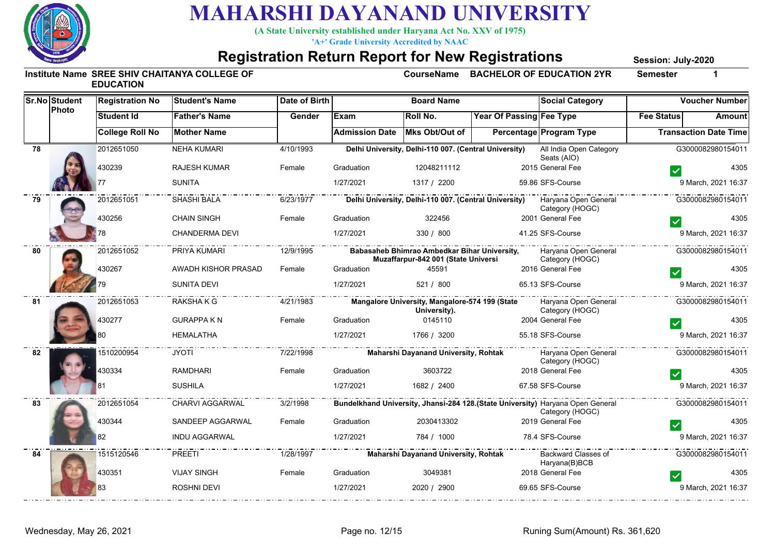

**(A State University established under Haryana Act No. XXV of 1975)**

**'A+' Grade University Accredited by NAAC**

#### **Registration Return Report for New Registrations**

**Session: July-2020**

|    | <b>Sr.No Student</b> | <b>Registration No</b> | <b>Student's Name</b>  | Date of Birth |                       | <b>Board Name</b>                                                                   |                          | <b>Social Category</b>                                                                             |                   | <b>Voucher Number</b>        |
|----|----------------------|------------------------|------------------------|---------------|-----------------------|-------------------------------------------------------------------------------------|--------------------------|----------------------------------------------------------------------------------------------------|-------------------|------------------------------|
|    | Photo                | <b>Student Id</b>      | <b>Father's Name</b>   | Gender        | Exam                  | Roll No.                                                                            | Year Of Passing Fee Type |                                                                                                    | <b>Fee Status</b> | <b>Amount</b>                |
|    |                      | <b>College Roll No</b> | <b>Mother Name</b>     |               | <b>Admission Date</b> | Mks Obt/Out of                                                                      |                          | Percentage Program Type                                                                            |                   | <b>Transaction Date Time</b> |
| 78 |                      | 2012651050             | <b>NEHA KUMARI</b>     | 4/10/1993     |                       | Delhi University, Delhi-110 007. (Central University)                               |                          | All India Open Category<br>Seats (AIO)                                                             |                   | G3000082980154011            |
|    |                      | 430239                 | <b>RAJESH KUMAR</b>    | Female        | Graduation            | 12048211112                                                                         |                          | 2015 General Fee                                                                                   |                   | 4305                         |
|    |                      |                        | <b>SUNITA</b>          |               | 1/27/2021             | 1317 / 2200                                                                         |                          | 59.86 SFS-Course                                                                                   |                   | 9 March, 2021 16:37          |
| 79 |                      | 2012651051             | SHASHI BALA            | 6/23/1977     |                       |                                                                                     |                          | Delhi University, Delhi-110 007. (Central University) Haryana Open General<br>Category (HOGC)      |                   | G3000082980154011            |
|    |                      | 430256                 | <b>CHAIN SINGH</b>     | Female        | Graduation            | 322456                                                                              |                          | 2001 General Fee                                                                                   |                   | 4305                         |
|    |                      |                        | CHANDERMA DEVI         |               | 1/27/2021             | 330 / 800                                                                           |                          | 41.25 SFS-Course                                                                                   |                   | 9 March, 2021 16:37          |
| 80 |                      | 2012651052             | PRIYA KUMARI           | 12/9/1995     |                       | Babasaheb Bhimrao Ambedkar Bihar University,<br>Muzaffarpur-842 001 (State Universi |                          | Haryana Open General<br>Category (HOGC)                                                            |                   | G3000082980154011            |
|    |                      | 430267                 | AWADH KISHOR PRASAD    | Female        | Graduation            | 45591                                                                               |                          | 2016 General Fee                                                                                   |                   | 4305                         |
|    |                      |                        | <b>SUNITA DEVI</b>     |               | 1/27/2021             | 521 / 800                                                                           |                          | 65.13 SFS-Course                                                                                   |                   | 9 March, 2021 16:37          |
| 81 |                      | 2012651053             | <b>RAKSHAKG</b>        | 4/21/1983     |                       | Mangalore University, Mangalore-574 199 (State<br>University).                      |                          | Haryana Open General<br>Category (HOGC)                                                            |                   | G3000082980154011            |
|    |                      | 430277                 | <b>GURAPPA KN</b>      | Female        | Graduation            | 0145110                                                                             |                          | 2004 General Fee                                                                                   |                   | 4305                         |
|    |                      |                        | <b>HEMALATHA</b>       |               | 1/27/2021             | 1766 / 3200                                                                         |                          | 55.18 SFS-Course                                                                                   |                   | 9 March, 2021 16:37          |
| 82 |                      | 1510200954             | JYOTI                  | 7/22/1998     |                       | Maharshi Dayanand University, Rohtak                                                |                          | Haryana Open General<br>Category (HOGC)                                                            |                   | G3000082980154011            |
|    |                      | 130334                 | <b>RAMDHARI</b>        | Female        | Graduation            | 3603722                                                                             |                          | 2018 General Fee                                                                                   |                   | 4305                         |
|    |                      | 81                     | <b>SUSHILA</b>         |               | 1/27/2021             | 1682 / 2400                                                                         |                          | 67.58 SFS-Course                                                                                   |                   | 9 March, 2021 16:37          |
| 83 |                      | 2012651054             | <b>CHARVI AGGARWAL</b> | 3/2/1998      |                       |                                                                                     |                          | Bundelkhand University, Jhansi-284 128. (State University) Haryana Open General<br>Category (HOGC) | . <b>.</b>        | G3000082980154011            |
|    |                      | 430344                 | SANDEEP AGGARWAL       | Female        | Graduation            | 2030413302                                                                          |                          | 2019 General Fee                                                                                   |                   | 4305                         |
|    |                      | 82                     | <b>INDU AGGARWAL</b>   |               | 1/27/2021             | 784 / 1000                                                                          |                          | 78.4 SFS-Course                                                                                    |                   | 9 March, 2021 16:37          |
| 84 |                      | 1515120546             | PREETI                 | 1/28/1997     |                       | Maharshi Dayanand University, Rohtak                                                |                          | Backward Classes of<br>Haryana(B)BCB                                                               |                   | G3000082980154011            |
|    |                      | 430351                 | <b>VIJAY SINGH</b>     | Female        | Graduation            | 3049381                                                                             |                          | 2018 General Fee                                                                                   |                   | 4305                         |
|    |                      | 83                     | ROSHNI DEVI            |               | 1/27/2021             | 2020 / 2900                                                                         |                          | 69.65 SFS-Course                                                                                   |                   | 9 March, 2021 16:37          |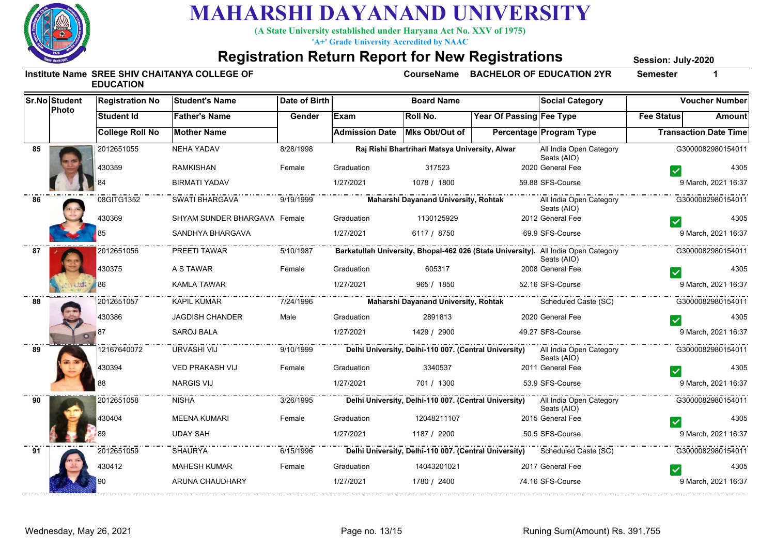

**(A State University established under Haryana Act No. XXV of 1975)**

**'A+' Grade University Accredited by NAAC**

#### **Registration Return Report for New Registrations**

**Session: July-2020**

|    | Sr.No Student | <b>Registration No</b><br><b>Student's Name</b> |                              | Date of Birth            | <b>Board Name</b>                    |                                                |                                        | <b>Social Category</b>                                                                            | <b>Voucher Number</b>        |                     |
|----|---------------|-------------------------------------------------|------------------------------|--------------------------|--------------------------------------|------------------------------------------------|----------------------------------------|---------------------------------------------------------------------------------------------------|------------------------------|---------------------|
|    | Photo         | <b>Student Id</b>                               | <b>Father's Name</b>         | Gender                   | Exam                                 | Roll No.                                       | Year Of Passing Fee Type               |                                                                                                   | <b>Fee Status</b>            | Amount              |
|    |               | <b>College Roll No</b>                          | <b>Mother Name</b>           |                          | <b>Admission Date</b>                | Mks Obt/Out of                                 |                                        | <b>Percentage Program Type</b>                                                                    | <b>Transaction Date Time</b> |                     |
| 85 |               | 2012651055                                      | NEHA YADAV                   | 8/28/1998                |                                      | Raj Rishi Bhartrihari Matsya University, Alwar |                                        | All India Open Category<br>Seats (AIO)                                                            | G3000082980154011            |                     |
|    |               | 430359                                          | <b>RAMKISHAN</b>             | Female                   | Graduation                           | 317523                                         |                                        | 2020 General Fee                                                                                  |                              | 4305                |
|    |               |                                                 | BIRMATI YADAV                |                          | 1/27/2021                            | 1078 / 1800                                    |                                        | 59.88 SFS-Course                                                                                  |                              | 9 March, 2021 16:37 |
| 86 |               | 08GITG1352                                      | SWATI BHARGAVA               | 9/19/1999                | Maharshi Dayanand University, Rohtak |                                                | All India Open Category<br>Seats (AIO) |                                                                                                   | G3000082980154011            |                     |
|    |               | 430369                                          | SHYAM SUNDER BHARGAVA Female |                          | Graduation                           | 1130125929                                     |                                        | 2012 General Fee                                                                                  |                              | 4305                |
|    |               | 35                                              | SANDHYA BHARGAVA             |                          | 1/27/2021                            | 6117 / 8750                                    |                                        | 69.9 SFS-Course                                                                                   |                              | 9 March, 2021 16:37 |
| 87 |               | 2012651056                                      | PREETI TAWAR                 | $-$ –  –  –<br>5/10/1987 |                                      |                                                |                                        | Barkatullah University, Bhopal-462 026 (State University). All India Open Category<br>Seats (AIO) |                              | G3000082980154011   |
|    |               | 430375                                          | A S TAWAR                    | Female                   | Graduation                           | 605317                                         |                                        | 2008 General Fee                                                                                  |                              | 4305                |
|    |               | 86                                              | <b>KAMLA TAWAR</b>           |                          | 1/27/2021                            | 965 / 1850                                     |                                        | 52.16 SFS-Course                                                                                  |                              | 9 March, 2021 16:37 |
| 88 |               | 2012651057                                      | <b>KAPIL KUMAR</b>           | 7/24/1996                |                                      | Maharshi Dayanand University, Rohtak           |                                        | Scheduled Caste (SC)                                                                              |                              | G3000082980154011   |
|    |               | 430386                                          | <b>JAGDISH CHANDER</b>       | Male                     | Graduation                           | 2891813                                        |                                        | 2020 General Fee                                                                                  |                              | 4305                |
|    |               | 87                                              | <b>SAROJ BALA</b>            |                          | 1/27/2021                            | 1429 / 2900                                    |                                        | 49.27 SFS-Course                                                                                  |                              | 9 March, 2021 16:37 |
| 89 |               | 12167640072                                     | URVASHI VIJ                  | 9/10/1999                |                                      |                                                |                                        | Delhi University, Delhi-110 007. (Central University) All India Open Category<br>Seats (AIO)      |                              | G3000082980154011   |
|    |               | 430394                                          | <b>VED PRAKASH VIJ</b>       | Female                   | Graduation                           | 3340537                                        |                                        | 2011 General Fee                                                                                  |                              | 4305                |
|    |               | 88                                              | <b>NARGIS VIJ</b>            |                          | 1/27/2021                            | 701 / 1300                                     |                                        | 53.9 SFS-Course                                                                                   |                              | 9 March, 2021 16:37 |
| 90 |               | 2012651058                                      | <b>NISHA</b>                 | 3/26/1995                |                                      |                                                |                                        | Delhi University, Delhi-110 007. (Central University) All India Open Category<br>Seats (AIO)      | -                            | G3000082980154011   |
|    |               | 430404                                          | MEENA KUMARI                 | Female                   | Graduation                           | 12048211107                                    |                                        | 2015 General Fee                                                                                  |                              | 4305                |
|    |               |                                                 | <b>UDAY SAH</b>              |                          | 1/27/2021                            | 1187 / 2200                                    |                                        | 50.5 SFS-Course                                                                                   |                              | 9 March, 2021 16:37 |
| 91 |               | 2012651059                                      | <b>SHAURYA</b>               | 6/15/1996                |                                      |                                                |                                        | Delhi University, Delhi-110 007. (Central University) Scheduled Caste (SC)                        |                              | G3000082980154011   |
|    |               | 430412                                          | MAHESH KUMAR                 | Female                   | Graduation                           | 14043201021                                    |                                        | 2017 General Fee                                                                                  |                              | 4305                |
|    |               |                                                 | <b>ARUNA CHAUDHARY</b>       |                          | 1/27/2021                            | 1780 / 2400                                    |                                        | 74.16 SFS-Course                                                                                  |                              | 9 March, 2021 16:37 |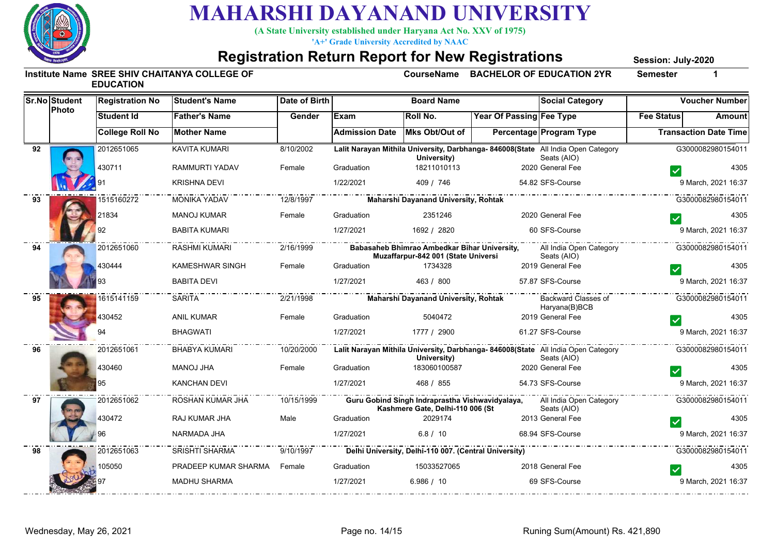

**(A State University established under Haryana Act No. XXV of 1975)**

**'A+' Grade University Accredited by NAAC**

#### **Registration Return Report for New Registrations**

**Session: July-2020**

| <b>Sr.No Student</b><br>Photo |  | <b>Registration No</b> | <b>Student's Name</b>       | Date of Birth | <b>Board Name</b>                                                                                                             |                                                                                     |                          | <b>Social Category</b>                                                                           | <b>Voucher Number</b> |                              |  |
|-------------------------------|--|------------------------|-----------------------------|---------------|-------------------------------------------------------------------------------------------------------------------------------|-------------------------------------------------------------------------------------|--------------------------|--------------------------------------------------------------------------------------------------|-----------------------|------------------------------|--|
|                               |  | Student Id             | <b>Father's Name</b>        | Gender        | <b>Exam</b>                                                                                                                   | Roll No.                                                                            | Year Of Passing Fee Type |                                                                                                  | <b>Fee Status</b>     | <b>Amount</b>                |  |
|                               |  | <b>College Roll No</b> | <b>Mother Name</b>          |               | <b>Admission Date</b>                                                                                                         | Mks Obt/Out of                                                                      |                          | Percentage Program Type                                                                          |                       | <b>Transaction Date Time</b> |  |
| 92                            |  | 2012651065             | <b>KAVITA KUMARI</b>        | 8/10/2002     |                                                                                                                               | University)                                                                         |                          | Lalit Narayan Mithila University, Darbhanga- 846008(State All India Open Category<br>Seats (AIO) |                       | G3000082980154011            |  |
|                               |  | 430711                 | RAMMURTI YADAV              | Female        | Graduation                                                                                                                    | 18211010113                                                                         |                          | 2020 General Fee                                                                                 |                       | 4305                         |  |
|                               |  |                        | <b>KRISHNA DEVI</b>         |               | 1/22/2021                                                                                                                     | 409 / 746                                                                           |                          | 54.82 SFS-Course                                                                                 |                       | 9 March, 2021 16:37          |  |
| 93                            |  | 1515160272             | <b>MONIKA YADAV</b>         | 12/8/1997     |                                                                                                                               | Maharshi Dayanand University, Rohtak                                                |                          |                                                                                                  |                       | G3000082980154011            |  |
|                               |  | 21834                  | <b>MANOJ KUMAR</b>          | Female        | Graduation                                                                                                                    | 2351246                                                                             |                          | 2020 General Fee                                                                                 |                       | 4305                         |  |
|                               |  | 92                     | <b>BABITA KUMARI</b>        |               | 1/27/2021                                                                                                                     | 1692 / 2820                                                                         |                          | 60 SFS-Course                                                                                    |                       | 9 March, 2021 16:37          |  |
| 94                            |  | 2012651060             | <b>RASHMI KUMARI</b>        | 2/16/1999     | Babasaheb Bhimrao Ambedkar Bihar University,<br>All India Open Category<br>Muzaffarpur-842 001 (State Universi<br>Seats (AIO) |                                                                                     |                          |                                                                                                  | .                     | G3000082980154011            |  |
|                               |  | 430444                 | KAMESHWAR SINGH             | Female        | Graduation                                                                                                                    | 1734328                                                                             |                          | 2019 General Fee                                                                                 |                       | 4305                         |  |
|                               |  |                        | <b>BABITA DEVI</b>          |               | 1/27/2021                                                                                                                     | 463 / 800                                                                           |                          | 57.87 SFS-Course                                                                                 |                       | 9 March, 2021 16:37          |  |
| 95                            |  | 1615141159             | <b>SARITA</b>               | 2/21/1998     |                                                                                                                               | <b>Maharshi Dayanand University, Rohtak</b>                                         |                          | Backward Classes of<br>Haryana(B)BCB                                                             |                       | G3000082980154011            |  |
|                               |  | 430452                 | <b>ANIL KUMAR</b>           | Female        | Graduation                                                                                                                    | 5040472                                                                             |                          | 2019 General Fee                                                                                 |                       | 4305                         |  |
|                               |  |                        | <b>BHAGWATI</b>             |               | 1/27/2021                                                                                                                     | 1777 / 2900                                                                         |                          | 61.27 SFS-Course                                                                                 |                       | 9 March, 2021 16:37          |  |
| 96                            |  | 2012651061             | <b>BHABYA KUMARI</b>        | 10/20/2000    |                                                                                                                               | University)                                                                         |                          | Lalit Narayan Mithila University, Darbhanga-846008(State All India Open Category<br>Seats (AIO)  |                       |                              |  |
|                               |  | 430460                 | <b>MANOJ JHA</b>            | Female        | Graduation                                                                                                                    | 183060100587                                                                        |                          | 2020 General Fee                                                                                 |                       | 4305                         |  |
|                               |  | 95                     | <b>KANCHAN DEVI</b>         |               | 1/27/2021                                                                                                                     | 468 / 855                                                                           |                          | 54.73 SFS-Course                                                                                 |                       | 9 March, 2021 16:37          |  |
| 97                            |  | 2012651062             | ROSHAN KUMAR JHA            | 10/15/1999    |                                                                                                                               | Guru Gobind Singh Indraprastha Vishwavidyalaya,<br>Kashmere Gate, Delhi-110 006 (St |                          | All India Open Category<br>Seats (AIO)                                                           |                       | G3000082980154011            |  |
|                               |  | 430472                 | RAJ KUMAR JHA               | Male          | Graduation                                                                                                                    | 2029174                                                                             |                          | 2013 General Fee                                                                                 |                       | 4305                         |  |
|                               |  |                        | NARMADA JHA                 |               | 1/27/2021                                                                                                                     | 6.8 / 10                                                                            |                          | 68.94 SFS-Course                                                                                 |                       | 9 March, 2021 16:37          |  |
| 98                            |  | 2012651063             | <b>SRISHTI SHARMA</b>       | 9/10/1997     |                                                                                                                               | Delhi University, Delhi-110 007. (Central University)                               |                          | . _ _ _ _ _ _ _ _ _ _ _ _                                                                        |                       | G3000082980154011            |  |
|                               |  | 105050                 | PRADEEP KUMAR SHARMA Female |               | Graduation                                                                                                                    | 15033527065                                                                         |                          | 2018 General Fee                                                                                 |                       | 4305                         |  |
|                               |  |                        | <b>MADHU SHARMA</b>         |               | 1/27/2021                                                                                                                     | 6.986 / 10                                                                          |                          | 69 SFS-Course                                                                                    |                       | 9 March, 2021 16:37          |  |